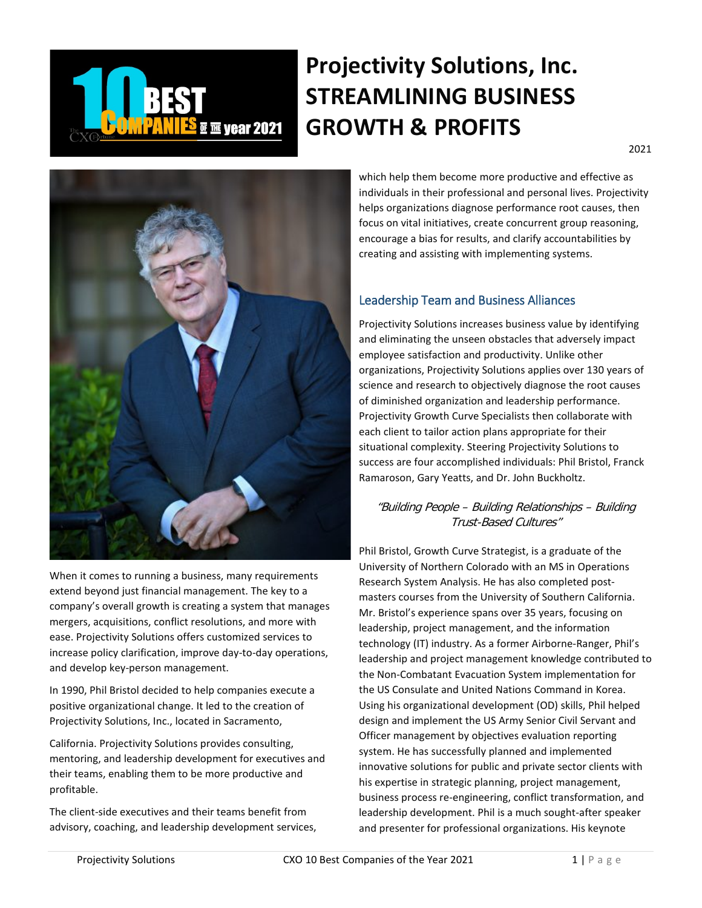

# **Projectivity Solutions, Inc. STREAMLINING BUSINESS GROWTH & PROFITS**



When it comes to running a business, many requirements extend beyond just financial management. The key to a company's overall growth is creating a system that manages mergers, acquisitions, conflict resolutions, and more with ease. Projectivity Solutions offers customized services to increase policy clarification, improve day-to-day operations, and develop key-person management.

In 1990, Phil Bristol decided to help companies execute a positive organizational change. It led to the creation of Projectivity Solutions, Inc., located in Sacramento,

California. Projectivity Solutions provides consulting, mentoring, and leadership development for executives and their teams, enabling them to be more productive and profitable.

The client-side executives and their teams benefit from advisory, coaching, and leadership development services, which help them become more productive and effective as individuals in their professional and personal lives. Projectivity helps organizations diagnose performance root causes, then focus on vital initiatives, create concurrent group reasoning, encourage a bias for results, and clarify accountabilities by creating and assisting with implementing systems.

#### Leadership Team and Business Alliances

Projectivity Solutions increases business value by identifying and eliminating the unseen obstacles that adversely impact employee satisfaction and productivity. Unlike other organizations, Projectivity Solutions applies over 130 years of science and research to objectively diagnose the root causes of diminished organization and leadership performance. Projectivity Growth Curve Specialists then collaborate with each client to tailor action plans appropriate for their situational complexity. Steering Projectivity Solutions to success are four accomplished individuals: Phil Bristol, Franck Ramaroson, Gary Yeatts, and Dr. John Buckholtz.

#### "Building People – Building Relationships – Building Trust-Based Cultures"

Phil Bristol, Growth Curve Strategist, is a graduate of the University of Northern Colorado with an MS in Operations Research System Analysis. He has also completed postmasters courses from the University of Southern California. Mr. Bristol's experience spans over 35 years, focusing on leadership, project management, and the information technology (IT) industry. As a former Airborne-Ranger, Phil's leadership and project management knowledge contributed to the Non-Combatant Evacuation System implementation for the US Consulate and United Nations Command in Korea. Using his organizational development (OD) skills, Phil helped design and implement the US Army Senior Civil Servant and Officer management by objectives evaluation reporting system. He has successfully planned and implemented innovative solutions for public and private sector clients with his expertise in strategic planning, project management, business process re-engineering, conflict transformation, and leadership development. Phil is a much sought-after speaker and presenter for professional organizations. His keynote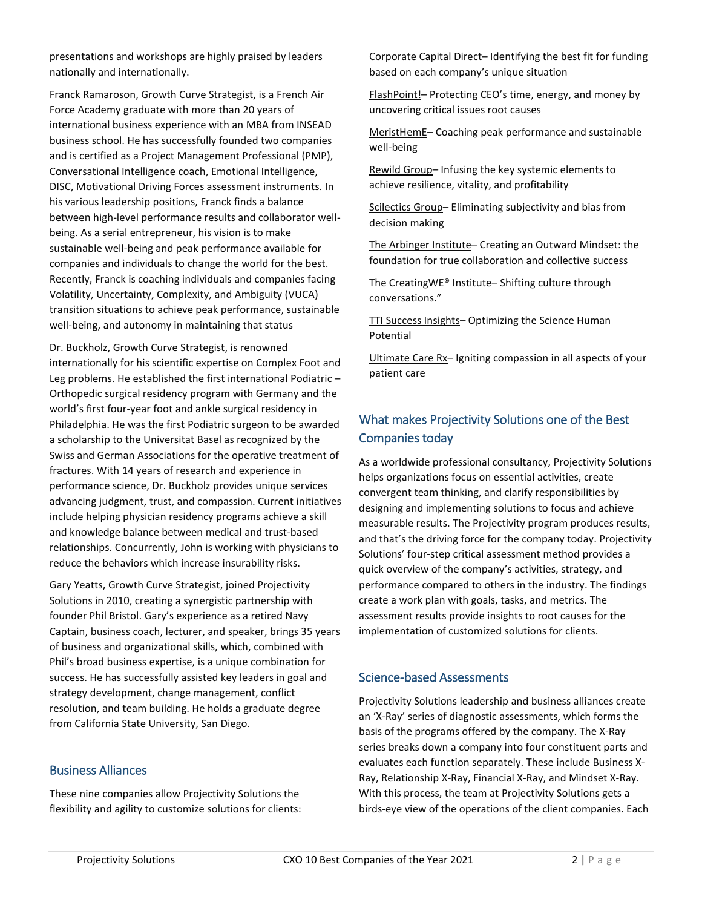presentations and workshops are highly praised by leaders nationally and internationally.

Franck Ramaroson, Growth Curve Strategist, is a French Air Force Academy graduate with more than 20 years of international business experience with an MBA from INSEAD business school. He has successfully founded two companies and is certified as a Project Management Professional (PMP), Conversational Intelligence coach, Emotional Intelligence, DISC, Motivational Driving Forces assessment instruments. In his various leadership positions, Franck finds a balance between high-level performance results and collaborator wellbeing. As a serial entrepreneur, his vision is to make sustainable well-being and peak performance available for companies and individuals to change the world for the best. Recently, Franck is coaching individuals and companies facing Volatility, Uncertainty, Complexity, and Ambiguity (VUCA) transition situations to achieve peak performance, sustainable well-being, and autonomy in maintaining that status

Dr. Buckholz, Growth Curve Strategist, is renowned internationally for his scientific expertise on Complex Foot and Leg problems. He established the first international Podiatric – Orthopedic surgical residency program with Germany and the world's first four-year foot and ankle surgical residency in Philadelphia. He was the first Podiatric surgeon to be awarded a scholarship to the Universitat Basel as recognized by the Swiss and German Associations for the operative treatment of fractures. With 14 years of research and experience in performance science, Dr. Buckholz provides unique services advancing judgment, trust, and compassion. Current initiatives include helping physician residency programs achieve a skill and knowledge balance between medical and trust-based relationships. Concurrently, John is working with physicians to reduce the behaviors which increase insurability risks.

Gary Yeatts, Growth Curve Strategist, joined Projectivity Solutions in 2010, creating a synergistic partnership with founder Phil Bristol. Gary's experience as a retired Navy Captain, business coach, lecturer, and speaker, brings 35 years of business and organizational skills, which, combined with Phil's broad business expertise, is a unique combination for success. He has successfully assisted key leaders in goal and strategy development, change management, conflict resolution, and team building. He holds a graduate degree from California State University, San Diego.

#### Business Alliances

These nine companies allow Projectivity Solutions the flexibility and agility to customize solutions for clients: Corporate Capital Direct– Identifying the best fit for funding based on each company's unique situation

FlashPoint!- Protecting CEO's time, energy, and money by uncovering critical issues root causes

MeristHemE– Coaching peak performance and sustainable well-being

Rewild Group– Infusing the key systemic elements to achieve resilience, vitality, and profitability

Scilectics Group– Eliminating subjectivity and bias from decision making

The Arbinger Institute– Creating an Outward Mindset: the foundation for true collaboration and collective success

The CreatingWE® Institute– Shifting culture through conversations."

TTI Success Insights– Optimizing the Science Human Potential

Ultimate Care Rx– Igniting compassion in all aspects of your patient care

# What makes Projectivity Solutions one of the Best Companies today

As a worldwide professional consultancy, Projectivity Solutions helps organizations focus on essential activities, create convergent team thinking, and clarify responsibilities by designing and implementing solutions to focus and achieve measurable results. The Projectivity program produces results, and that's the driving force for the company today. Projectivity Solutions' four-step critical assessment method provides a quick overview of the company's activities, strategy, and performance compared to others in the industry. The findings create a work plan with goals, tasks, and metrics. The assessment results provide insights to root causes for the implementation of customized solutions for clients.

#### Science-based Assessments

Projectivity Solutions leadership and business alliances create an 'X-Ray' series of diagnostic assessments, which forms the basis of the programs offered by the company. The X-Ray series breaks down a company into four constituent parts and evaluates each function separately. These include Business X-Ray, Relationship X-Ray, Financial X-Ray, and Mindset X-Ray. With this process, the team at Projectivity Solutions gets a birds-eye view of the operations of the client companies. Each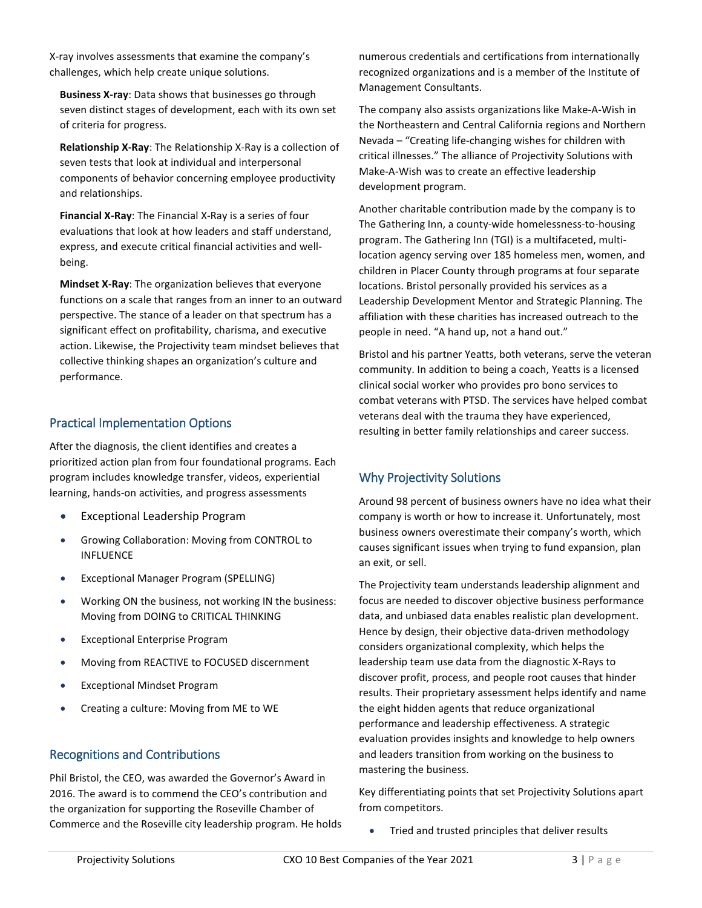X-ray involves assessments that examine the company's challenges, which help create unique solutions.

**Business X-ray**: Data shows that businesses go through seven distinct stages of development, each with its own set of criteria for progress.

**Relationship X-Ray**: The Relationship X-Ray is a collection of seven tests that look at individual and interpersonal components of behavior concerning employee productivity and relationships.

**Financial X-Ray**: The Financial X-Ray is a series of four evaluations that look at how leaders and staff understand, express, and execute critical financial activities and wellbeing.

**Mindset X-Ray**: The organization believes that everyone functions on a scale that ranges from an inner to an outward perspective. The stance of a leader on that spectrum has a significant effect on profitability, charisma, and executive action. Likewise, the Projectivity team mindset believes that collective thinking shapes an organization's culture and performance.

## Practical Implementation Options

After the diagnosis, the client identifies and creates a prioritized action plan from four foundational programs. Each program includes knowledge transfer, videos, experiential learning, hands-on activities, and progress assessments

- Exceptional Leadership Program
- Growing Collaboration: Moving from CONTROL to INFLUENCE
- Exceptional Manager Program (SPELLING)
- Working ON the business, not working IN the business: Moving from DOING to CRITICAL THINKING
- Exceptional Enterprise Program
- Moving from REACTIVE to FOCUSED discernment
- Exceptional Mindset Program
- Creating a culture: Moving from ME to WE

#### Recognitions and Contributions

Phil Bristol, the CEO, was awarded the Governor's Award in 2016. The award is to commend the CEO's contribution and the organization for supporting the Roseville Chamber of Commerce and the Roseville city leadership program. He holds numerous credentials and certifications from internationally recognized organizations and is a member of the Institute of Management Consultants.

The company also assists organizations like Make-A-Wish in the Northeastern and Central California regions and Northern Nevada – "Creating life-changing wishes for children with critical illnesses." The alliance of Projectivity Solutions with Make-A-Wish was to create an effective leadership development program.

Another charitable contribution made by the company is to The Gathering Inn, a county-wide homelessness-to-housing program. The Gathering Inn (TGI) is a multifaceted, multilocation agency serving over 185 homeless men, women, and children in Placer County through programs at four separate locations. Bristol personally provided his services as a Leadership Development Mentor and Strategic Planning. The affiliation with these charities has increased outreach to the people in need. "A hand up, not a hand out."

Bristol and his partner Yeatts, both veterans, serve the veteran community. In addition to being a coach, Yeatts is a licensed clinical social worker who provides pro bono services to combat veterans with PTSD. The services have helped combat veterans deal with the trauma they have experienced, resulting in better family relationships and career success.

## Why Projectivity Solutions

Around 98 percent of business owners have no idea what their company is worth or how to increase it. Unfortunately, most business owners overestimate their company's worth, which causes significant issues when trying to fund expansion, plan an exit, or sell.

The Projectivity team understands leadership alignment and focus are needed to discover objective business performance data, and unbiased data enables realistic plan development. Hence by design, their objective data-driven methodology considers organizational complexity, which helps the leadership team use data from the diagnostic X-Rays to discover profit, process, and people root causes that hinder results. Their proprietary assessment helps identify and name the eight hidden agents that reduce organizational performance and leadership effectiveness. A strategic evaluation provides insights and knowledge to help owners and leaders transition from working on the business to mastering the business.

Key differentiating points that set Projectivity Solutions apart from competitors.

• Tried and trusted principles that deliver results